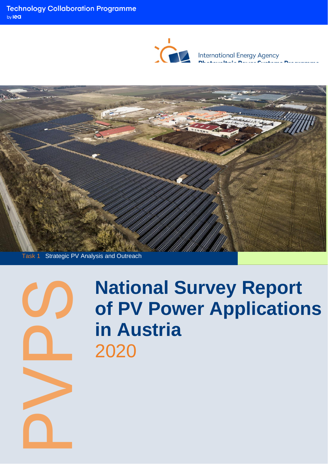

International Energy Agency<br>**Photovoltaic Power Systems Programme** 



Task 1 Strategic PV Analysis and Outreach



# **National Survey Report of PV Power Applications in Austria** 2020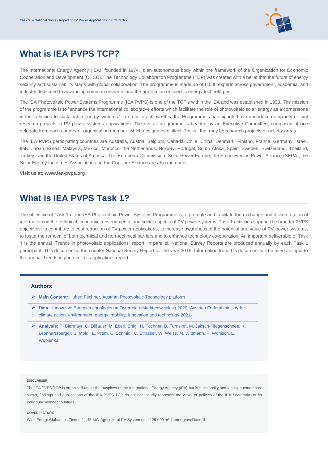

# **What is IEA PVPS TCP?**

The International Energy Agency (IEA), founded in 1974, is an autonomous body within the framework of the Organization for Economic Cooperation and Development (OECD). The Technology Collaboration Programme (TCP) was created with a belief that the future of energy security and sustainability starts with global collaboration. The programme is made up of 6.000 experts across government, academia, and industry dedicated to advancing common research and the application of specific energy technologies.

The IEA Photovoltaic Power Systems Programme (IEA PVPS) is one of the TCP's within the IEA and was established in 1993. The mission of the programme is to "enhance the international collaborative efforts which facilitate the role of photovoltaic solar energy as a cornerstone in the transition to sustainable energy systems." In order to achieve this, the Programme's participants have undertaken a variety of joint research projects in PV power systems applications. The overall programme is headed by an Executive Committee, comprised of one delegate from each country or organisation member, which designates distinct 'Tasks,' that may be research projects or activity areas.

The IEA PVPS participating countries are Australia, Austria, Belgium, Canada, Chile, China, Denmark, Finland, France, Germany, Israel, Italy, Japan, Korea, Malaysia, Mexico, Morocco, the Netherlands, Norway, Portugal, South Africa, Spain, Sweden, Switzerland, Thailand, Turkey, and the United States of America. The European Commission, Solar Power Europe, the Smart Electric Power Alliance (SEPA), the Solar Energy Industries Association and the Cop- per Alliance are also members.

**Visit us at: [www.iea-pvps.org](http://www.iea-pvps.org/)**

## **What is IEA PVPS Task 1?**

The objective of Task 1 of the IEA Photovoltaic Power Systems Programme is to promote and facilitate the exchange and dissemination of information on the technical, economic, environmental and social aspects of PV power systems. Task 1 activities support the broader PVPS objectives: to contribute to cost reduction of PV power applications, to increase awareness of the potential and value of PV power systems, to foster the removal of both technical and non-technical barriers and to enhance technology co-operation. An important deliverable of Task 1 is the annual "Trends in photovoltaic applications" report. In parallel, National Survey Reports are produced annually by each Task 1 participant. This document is the country National Survey Report for the year 2019. Information from this document will be used as input to the annual Trends in photovoltaic applications report.

#### **Authors**

- ➢ **Main Content:** Hubert Fechner, Austrian Photovoltaic Technology platform
- ➢ **Data:** Innovative Energietechnologien in Österreich: Marktentwicklung 2020, Austrian Federal ministry for climate action, environment, energy, mobility, innovation and technology 2021
- ➢ **Analysis:** P. Biermayr, C. Dißauer, M. Eberl, Enigl, H. Fechner, B. Fürnsinn, M. Jaksch-Fliegenschnee, K. Leonhartsberger, S. Moidl, E. Prem, C. Schmidl, C. Strasser, W. Weiss, M. Wittmann, P. Wonisch, E. Wopienka

#### **DISCLAIMER**

The IEA PVPS TCP is organised under the auspices of the International Energy Agency (IEA) but is functionally and legally autonomous. Views, findings and publications of the IEA PVPS TCP do not necessarily represent the views or policies of the IEA Secretariat or its individual member countries

#### **COVER PICTURE**

Wien Energie/Johannes Zinner, 11,45 MW Agricultural-PV System on a 125.000 m<sup>2</sup> former gravel landfill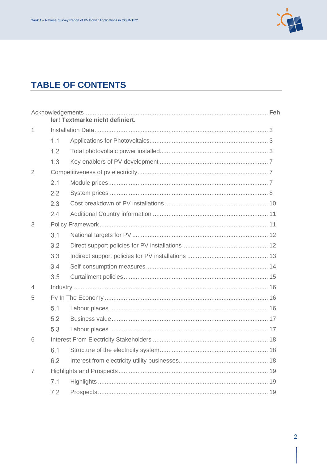

# **TABLE OF CONTENTS**

|                |     | ler! Textmarke nicht definiert. |  |
|----------------|-----|---------------------------------|--|
| 1              |     |                                 |  |
|                | 1.1 |                                 |  |
|                | 1.2 |                                 |  |
|                | 1.3 |                                 |  |
| $\overline{2}$ |     |                                 |  |
|                | 2.1 |                                 |  |
|                | 2.2 |                                 |  |
|                | 2.3 |                                 |  |
|                | 2.4 |                                 |  |
| 3              |     |                                 |  |
|                | 3.1 |                                 |  |
|                | 3.2 |                                 |  |
|                | 3.3 |                                 |  |
|                | 3.4 |                                 |  |
|                | 3.5 |                                 |  |
| 4              |     |                                 |  |
| 5              |     |                                 |  |
|                | 5.1 |                                 |  |
|                | 5.2 |                                 |  |
|                | 5.3 |                                 |  |
| 6              |     |                                 |  |
|                | 6.1 |                                 |  |
|                | 6.2 |                                 |  |
| 7              |     |                                 |  |
|                | 7.1 |                                 |  |
|                | 7.2 |                                 |  |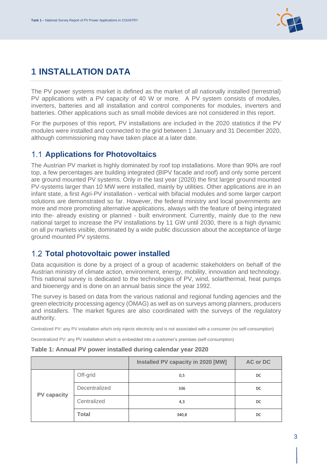

# <span id="page-3-0"></span>**1 INSTALLATION DATA**

The PV power systems market is defined as the market of all nationally installed (terrestrial) PV applications with a PV capacity of 40 W or more. A PV system consists of modules, inverters, batteries and all installation and control components for modules, inverters and batteries. Other applications such as small mobile devices are not considered in this report.

For the purposes of this report, PV installations are included in the 2020 statistics if the PV modules were installed and connected to the grid between 1 January and 31 December 2020, although commissioning may have taken place at a later date.

#### <span id="page-3-1"></span>**1.1 Applications for Photovoltaics**

The Austrian PV market is highly dominated by roof top installations. More than 90% are roof top, a few percentages are building integrated (BIPV facade and roof) and only some percent are ground mounted PV systems. Only in the last year (2020) the first larger ground mounted PV-systems larger than 10 MW were installed, mainly by utilities. Other applications are in an infant state, a first Agri-PV installation - vertical with bifacial modules and some larger carport solutions are demonstrated so far. However, the federal ministry and local governments are more and more promoting alternative applications, always with the feature of being integrated into the- already existing or planned - built environment. Currently, mainly due to the new national target to increase the PV installations by 11 GW until 2030, there is a high dynamic on all pv markets visible, dominated by a wide public discussion about the acceptance of large ground mounted PV systems.

## <span id="page-3-2"></span>**Total photovoltaic power installed**

Data acquisition is done by a project of a group of academic stakeholders on behalf of the Austrian ministry of climate action, environment, energy, mobility, innovation and technology. This national survey is dedicated to the technologies of PV, wind, solarthermal, heat pumps and bioenergy and is done on an annual basis since the year 1992.

The survey is based on data from the various national and regional funding agencies and the green electricity processing agency (ÖMAG) as well as on surveys among planners, producers and installers. The market figures are also coordinated with the surveys of the regulatory authority.

Centralized PV: any PV installation which only injects electricity and is not associated with a consumer (no self-consumption)

Decentralized PV: any PV installation which is embedded into a customer's premises (self-consumption)

|                    |               | Installed PV capacity in 2020 [MW] | <b>AC or DC</b> |
|--------------------|---------------|------------------------------------|-----------------|
|                    | Off-grid      | 0,5                                | DC              |
| <b>PV capacity</b> | Decentralized | 336                                | DC              |
|                    | Centralized   | 4,3                                | DC              |
|                    | <b>Total</b>  | 340,8                              | DC              |

#### **Table 1: Annual PV power installed during calendar year 2020**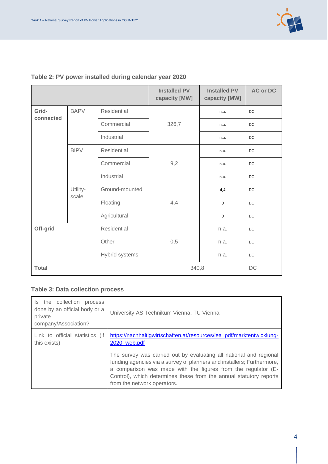

## **Table 2: PV power installed during calendar year 2020**

|                    |                   |                    | <b>Installed PV</b><br>capacity [MW] | <b>Installed PV</b><br>capacity [MW] | <b>AC or DC</b> |
|--------------------|-------------------|--------------------|--------------------------------------|--------------------------------------|-----------------|
| Grid-<br>connected | <b>BAPV</b>       | <b>Residential</b> |                                      | n.a.                                 | DC              |
|                    |                   | Commercial         | 326,7                                | n.a.                                 | DC              |
|                    |                   | Industrial         |                                      | n.a.                                 | DC              |
|                    | <b>BIPV</b>       | Residential        |                                      | n.a.                                 | <b>DC</b>       |
|                    |                   | Commercial         | 9,2                                  | n.a.                                 | DC              |
|                    |                   | Industrial         |                                      | n.a.                                 | <b>DC</b>       |
|                    | Utility-<br>scale | Ground-mounted     | 4,4                                  | 4,4                                  | DC              |
|                    |                   | Floating           |                                      | 0                                    | DC              |
|                    |                   | Agricultural       |                                      | 0                                    | DC              |
| Off-grid           |                   | Residential        |                                      | n.a.                                 | DC              |
|                    |                   | Other              | 0,5                                  | n.a.                                 | <b>DC</b>       |
|                    |                   | Hybrid systems     |                                      | n.a.                                 | DC              |
| <b>Total</b>       |                   |                    | 340,8                                |                                      | $DC$            |

#### **Table 3: Data collection process**

| Is the collection process<br>done by an official body or a<br>private<br>company/Association? | University AS Technikum Vienna, TU Vienna                                                                                                                                                                                                                                                                          |
|-----------------------------------------------------------------------------------------------|--------------------------------------------------------------------------------------------------------------------------------------------------------------------------------------------------------------------------------------------------------------------------------------------------------------------|
| Link to official statistics (if<br>this exists)                                               | https://nachhaltigwirtschaften.at/resources/iea_pdf/marktentwicklung-<br>2020 web.pdf                                                                                                                                                                                                                              |
|                                                                                               | The survey was carried out by evaluating all national and regional<br>funding agencies via a survey of planners and installers; Furthermore,<br>a comparison was made with the figures from the regulator (E-<br>Control), which determines these from the annual statutory reports<br>from the network operators. |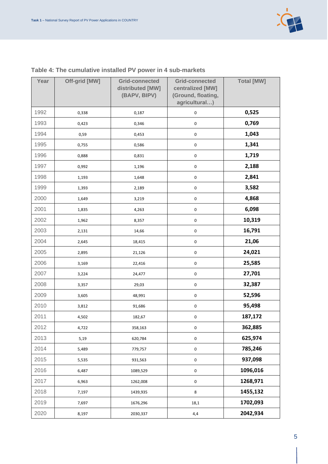

| Year | Off-grid [MW] | <b>Grid-connected</b><br>distributed [MW]<br>(BAPV, BIPV) | <b>Grid-connected</b><br>centralized [MW]<br>(Ground, floating,<br>agricultural) | <b>Total [MW]</b> |
|------|---------------|-----------------------------------------------------------|----------------------------------------------------------------------------------|-------------------|
| 1992 | 0,338         | 0,187                                                     | $\pmb{0}$                                                                        | 0,525             |
| 1993 | 0,423         | 0,346                                                     | $\mathsf{O}\xspace$                                                              | 0,769             |
| 1994 | 0,59          | 0,453                                                     | $\pmb{0}$                                                                        | 1,043             |
| 1995 | 0,755         | 0,586                                                     | $\pmb{0}$                                                                        | 1,341             |
| 1996 | 0,888         | 0,831                                                     | $\mathsf{O}\xspace$                                                              | 1,719             |
| 1997 | 0,992         | 1,196                                                     | 0                                                                                | 2,188             |
| 1998 | 1,193         | 1,648                                                     | $\mathsf{O}\xspace$                                                              | 2,841             |
| 1999 | 1,393         | 2,189                                                     | $\pmb{0}$                                                                        | 3,582             |
| 2000 | 1,649         | 3,219                                                     | 0                                                                                | 4,868             |
| 2001 | 1,835         | 4,263                                                     | $\mathsf{O}\xspace$                                                              | 6,098             |
| 2002 | 1,962         | 8,357                                                     | $\mathsf{O}\xspace$                                                              | 10,319            |
| 2003 | 2,131         | 14,66                                                     | $\mathsf{O}\xspace$                                                              | 16,791            |
| 2004 | 2,645         | 18,415                                                    | $\mathsf{O}\xspace$                                                              | 21,06             |
| 2005 | 2,895         | 21,126                                                    | $\mathsf{O}\xspace$                                                              | 24,021            |
| 2006 | 3,169         | 22,416                                                    | $\mathsf{O}\xspace$                                                              | 25,585            |
| 2007 | 3,224         | 24,477                                                    | $\pmb{0}$                                                                        | 27,701            |
| 2008 | 3,357         | 29,03                                                     | 0                                                                                | 32,387            |
| 2009 | 3,605         | 48,991                                                    | $\mathsf{O}\xspace$                                                              | 52,596            |
| 2010 | 3,812         | 91,686                                                    | $\pmb{0}$                                                                        | 95,498            |
| 2011 | 4,502         | 182,67                                                    | $\pmb{0}$                                                                        | 187,172           |
| 2012 | 4,722         | 358,163                                                   | $\mathsf{O}\xspace$                                                              | 362,885           |
| 2013 | 5,19          | 620,784                                                   | $\pmb{0}$                                                                        | 625,974           |
| 2014 | 5,489         | 779,757                                                   | $\mathsf{O}\xspace$                                                              | 785,246           |
| 2015 | 5,535         | 931,563                                                   | $\mathsf{O}\xspace$                                                              | 937,098           |
| 2016 | 6,487         | 1089,529                                                  | $\mathsf{O}\xspace$                                                              | 1096,016          |
| 2017 | 6,963         | 1262,008                                                  | $\mathsf{O}\xspace$                                                              | 1268,971          |
| 2018 | 7,197         | 1439,935                                                  | 8                                                                                | 1455,132          |
| 2019 | 7,697         | 1676,296                                                  | 18,1                                                                             | 1702,093          |
| 2020 | 8,197         | 2030,337                                                  | 4,4                                                                              | 2042,934          |

#### **Table 4: The cumulative installed PV power in 4 sub-markets**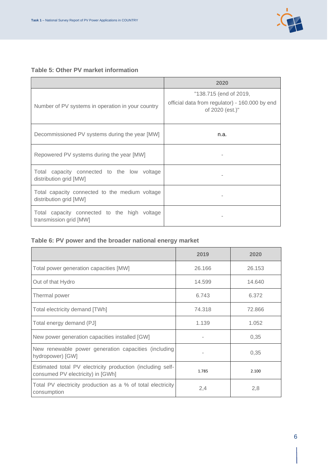

#### **Table 5: Other PV market information**

|                                                                          | 2020                                                                                        |
|--------------------------------------------------------------------------|---------------------------------------------------------------------------------------------|
| Number of PV systems in operation in your country                        | "138.715 (end of 2019,<br>official data from regulator) - 160.000 by end<br>of 2020 (est.)" |
| Decommissioned PV systems during the year [MW]                           | n.a.                                                                                        |
| Repowered PV systems during the year [MW]                                |                                                                                             |
| Total capacity connected to the low voltage<br>distribution grid [MW]    |                                                                                             |
| Total capacity connected to the medium voltage<br>distribution grid [MW] |                                                                                             |
| Total capacity connected to the high voltage<br>transmission grid [MW]   |                                                                                             |

## **Table 6: PV power and the broader national energy market**

|                                                                                                 | 2019   | 2020   |
|-------------------------------------------------------------------------------------------------|--------|--------|
| Total power generation capacities [MW]                                                          | 26.166 | 26.153 |
| Out of that Hydro                                                                               | 14.599 | 14.640 |
| Thermal power                                                                                   | 6.743  | 6.372  |
| Total electricity demand [TWh]                                                                  | 74.318 | 72.866 |
| Total energy demand (PJ]                                                                        | 1.139  | 1.052  |
| New power generation capacities installed [GW]                                                  |        | 0,35   |
| New renewable power generation capacities (including<br>hydropower) [GW]                        | ۰      | 0,35   |
| Estimated total PV electricity production (including self-<br>consumed PV electricity) in [GWh] | 1.785  | 2.100  |
| Total PV electricity production as a % of total electricity<br>consumption                      | 2,4    | 2,8    |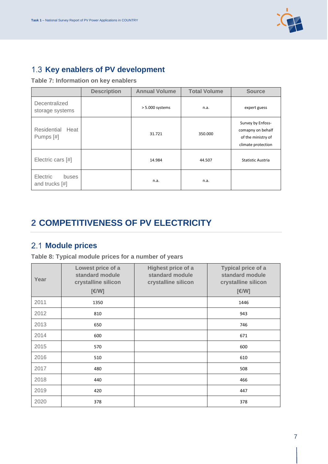

## <span id="page-7-0"></span>1.3 Key enablers of PV development

**Table 7: Information on key enablers**

|                                     | <b>Description</b> | <b>Annual Volume</b> | <b>Total Volume</b> | <b>Source</b>                                                                      |
|-------------------------------------|--------------------|----------------------|---------------------|------------------------------------------------------------------------------------|
| Decentralized<br>storage systems    |                    | > 5.000 systems      | n.a.                | expert guess                                                                       |
| Residential Heat<br>Pumps [#]       |                    | 31.721               | 350.000             | Survey by Enfoss-<br>comapny on behalf<br>of the ministry of<br>climate protection |
| Electric cars [#]                   |                    | 14.984               | 44.507              | Statistic Austria                                                                  |
| Electric<br>buses<br>and trucks [#] |                    | n.a.                 | n.a.                |                                                                                    |

# <span id="page-7-1"></span>**2 COMPETITIVENESS OF PV ELECTRICITY**

## <span id="page-7-2"></span>**Module prices**

**Table 8: Typical module prices for a number of years**

| Year | Lowest price of a<br>standard module<br>crystalline silicon<br>[€/W] | Highest price of a<br>standard module<br>crystalline silicon | <b>Typical price of a</b><br>standard module<br>crystalline silicon<br>[€/W] |
|------|----------------------------------------------------------------------|--------------------------------------------------------------|------------------------------------------------------------------------------|
| 2011 | 1350                                                                 |                                                              | 1446                                                                         |
| 2012 | 810                                                                  |                                                              | 943                                                                          |
| 2013 | 650                                                                  |                                                              | 746                                                                          |
| 2014 | 600                                                                  |                                                              | 671                                                                          |
| 2015 | 570                                                                  |                                                              | 600                                                                          |
| 2016 | 510                                                                  |                                                              | 610                                                                          |
| 2017 | 480                                                                  |                                                              | 508                                                                          |
| 2018 | 440                                                                  |                                                              | 466                                                                          |
| 2019 | 420                                                                  |                                                              | 447                                                                          |
| 2020 | 378                                                                  |                                                              | 378                                                                          |

7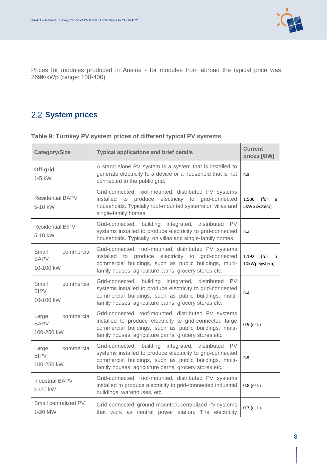

Prices for modules produced in Austria - for modules from abroad the typical price was 269€/kWp (range: 100-400)

# <span id="page-8-0"></span>2.2 **System prices**

| <b>Category/Size</b>                             | <b>Typical applications and brief details</b>                                                                                                                                                                                            | <b>Current</b><br>prices [€/W]      |
|--------------------------------------------------|------------------------------------------------------------------------------------------------------------------------------------------------------------------------------------------------------------------------------------------|-------------------------------------|
| Off-grid<br>$1-5$ kW                             | A stand-alone PV system is a system that is installed to<br>generate electricity to a device or a household that is not<br>connected to the public grid.                                                                                 | n.a.                                |
| <b>Residential BAPV</b><br>5-10 kW               | Grid-connected, roof-mounted, distributed PV systems<br>installed to produce electricity to grid-connected<br>households. Typically roof-mounted systems on villas and<br>single-family homes.                                           | 1,506<br>(for a<br>5kWp system)     |
| <b>Residential BIPV</b><br>5-10 kW               | Grid-connected, building integrated, distributed<br><b>PV</b><br>systems installed to produce electricity to grid-connected<br>households. Typically, on villas and single-family homes.                                                 | n.a.                                |
| Small<br>commercial<br><b>BAPV</b><br>10-100 kW  | Grid-connected, roof-mounted, distributed PV systems<br>installed to produce electricity to grid-connected<br>commercial buildings, such as public buildings, multi-<br>family houses, agriculture barns, grocery stores etc.            | 1,192<br>(for<br>a<br>10kWp System) |
| Small<br>commercial<br><b>BIPV</b><br>10-100 kW  | Grid-connected, building integrated, distributed PV<br>systems installed to produce electricity to grid-connected<br>commercial buildings, such as public buildings, multi-<br>family houses, agriculture barns, grocery stores etc.     | n.a.                                |
| Large<br>commercial<br><b>BAPV</b><br>100-250 kW | Grid-connected, roof-mounted, distributed PV systems<br>installed to produce electricity to grid-connected large<br>commercial buildings, such as public buildings, multi-<br>family houses, agriculture barns, grocery stores etc.      | $0,9$ (est.)                        |
| Large<br>commercial<br><b>BIPV</b><br>100-250 kW | Grid-connected, building integrated, distributed<br>PV.<br>systems installed to produce electricity to grid-connected<br>commercial buildings, such as public buildings, multi-<br>family houses, agriculture barns, grocery stores etc. | n.a.                                |
| <b>Industrial BAPV</b><br>>250 kW                | Grid-connected, roof-mounted, distributed PV systems<br>installed to produce electricity to grid-connected industrial<br>buildings, warehouses, etc.                                                                                     | $0,8$ (est.)                        |
| Small centralized PV<br>1-20 MW                  | Grid-connected, ground-mounted, centralized PV systems<br>that work as central power station. The electricity                                                                                                                            | $0,7$ (est.)                        |

**Table 9: Turnkey PV system prices of different typical PV systems**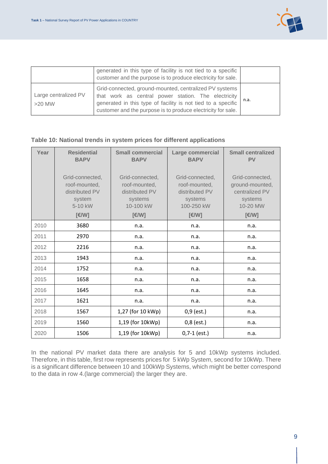

|                                  | generated in this type of facility is not tied to a specific<br>customer and the purpose is to produce electricity for sale.                                                                                                                  |      |
|----------------------------------|-----------------------------------------------------------------------------------------------------------------------------------------------------------------------------------------------------------------------------------------------|------|
| Large centralized PV<br>$>20$ MW | Grid-connected, ground-mounted, centralized PV systems<br>that work as central power station. The electricity<br>generated in this type of facility is not tied to a specific<br>customer and the purpose is to produce electricity for sale. | n.a. |

#### **Table 10: National trends in system prices for different applications**

| Year | <b>Residential</b><br><b>BAPV</b>                                                | <b>Small commercial</b><br><b>BAPV</b>                                             | Large commercial<br><b>BAPV</b>                                                      | <b>Small centralized</b><br><b>PV</b>                                                |
|------|----------------------------------------------------------------------------------|------------------------------------------------------------------------------------|--------------------------------------------------------------------------------------|--------------------------------------------------------------------------------------|
|      | Grid-connected,<br>roof-mounted,<br>distributed PV<br>system<br>5-10 kW<br>[€/W] | Grid-connected,<br>roof-mounted,<br>distributed PV<br>systems<br>10-100 kW<br>E(W) | Grid-connected,<br>roof-mounted,<br>distributed PV<br>systems<br>100-250 kW<br>[€/W] | Grid-connected,<br>ground-mounted,<br>centralized PV<br>systems<br>10-20 MW<br>[€/W] |
| 2010 | 3680                                                                             | n.a.                                                                               | n.a.                                                                                 | n.a.                                                                                 |
| 2011 | 2970                                                                             | n.a.                                                                               | n.a.                                                                                 | n.a.                                                                                 |
| 2012 | 2216                                                                             | n.a.                                                                               | n.a.                                                                                 | n.a.                                                                                 |
| 2013 | 1943                                                                             | n.a.                                                                               | n.a.                                                                                 | n.a.                                                                                 |
| 2014 | 1752                                                                             | n.a.                                                                               | n.a.                                                                                 | n.a.                                                                                 |
| 2015 | 1658                                                                             | n.a.                                                                               | n.a.                                                                                 | n.a.                                                                                 |
| 2016 | 1645                                                                             | n.a.                                                                               | n.a.                                                                                 | n.a.                                                                                 |
| 2017 | 1621                                                                             | n.a.                                                                               | n.a.                                                                                 | n.a.                                                                                 |
| 2018 | 1567                                                                             | 1,27 (for 10 kWp)                                                                  | $0,9$ (est.)                                                                         | n.a.                                                                                 |
| 2019 | 1560                                                                             | 1,19 (for 10kWp)                                                                   | $0,8$ (est.)                                                                         | n.a.                                                                                 |
| 2020 | 1506                                                                             | 1,19 (for 10kWp)                                                                   | $0,7-1$ (est.)                                                                       | n.a.                                                                                 |

In the national PV market data there are analysis for 5 and 10kWp systems included. Therefore, in this table, first row represents prices for 5 kWp System, second for 10kWp. There is a significant difference between 10 and 100kWp Systems, which might be better correspond to the data in row 4.(large commercial) the larger they are.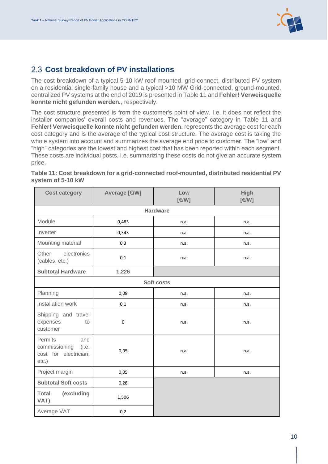

## <span id="page-10-0"></span>**Cost breakdown of PV installations**

The cost breakdown of a typical 5-10 kW roof-mounted, grid-connect, distributed PV system on a residential single-family house and a typical >10 MW Grid-connected, ground-mounted, centralized PV systems at the end of 2019 is presented i[n Table 11](#page-10-1) and **Fehler! Verweisquelle konnte nicht gefunden werden.**, respectively.

The cost structure presented is from the customer's point of view. I.e. it does not reflect the installer companies' overall costs and revenues. The "average" category in [Table 11](#page-10-1) and **Fehler! Verweisquelle konnte nicht gefunden werden.** represents the average cost for each cost category and is the average of the typical cost structure. The average cost is taking the whole system into account and summarizes the average end price to customer. The "low" and "high" categories are the lowest and highest cost that has been reported within each segment. These costs are individual posts, i.e. summarizing these costs do not give an accurate system price.

| <b>Cost category</b>                                                          | Average [€/W] | Low<br>[€/W]    | <b>High</b><br>[€/W] |
|-------------------------------------------------------------------------------|---------------|-----------------|----------------------|
|                                                                               |               | <b>Hardware</b> |                      |
| Module                                                                        | 0,483         | n.a.            | n.a.                 |
| Inverter                                                                      | 0,343         | n.a.            | n.a.                 |
| Mounting material                                                             | 0,3           | n.a.            | n.a.                 |
| electronics<br>Other<br>(cables, etc.)                                        | 0,1           | n.a.            | n.a.                 |
| <b>Subtotal Hardware</b>                                                      | 1,226         |                 |                      |
|                                                                               |               | Soft costs      |                      |
| Planning                                                                      | 0,08          | n.a.            | n.a.                 |
| Installation work                                                             | 0,1           | n.a.            | n.a.                 |
| Shipping and travel<br>expenses<br>to<br>customer                             | $\pmb{0}$     | n.a.            | n.a.                 |
| Permits<br>and<br>commissioning<br>(i.e.<br>cost for electrician,<br>$etc.$ ) | 0,05          | n.a.            | n.a.                 |
| Project margin                                                                | 0,05          | n.a.            | n.a.                 |
| <b>Subtotal Soft costs</b>                                                    | 0,28          |                 |                      |
| <b>Total</b><br>(excluding<br>VAT)                                            | 1,506         |                 |                      |
| Average VAT                                                                   | 0,2           |                 |                      |

<span id="page-10-1"></span>**Table 11: Cost breakdown for a grid-connected roof-mounted, distributed residential PV system of 5-10 kW**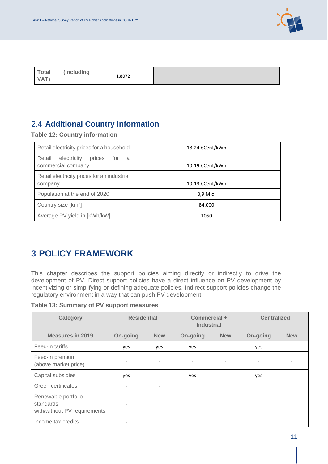

|--|

## <span id="page-11-0"></span>**Additional Country information**

**Table 12: Country information**

| Retail electricity prices for a household                         | 18-24 €Cent/kWh |
|-------------------------------------------------------------------|-----------------|
| Retail<br>electricity<br>prices<br>for<br>a<br>commercial company | 10-19 €Cent/kWh |
| Retail electricity prices for an industrial<br>company            | 10-13 €Cent/kWh |
| Population at the end of 2020                                     | 8,9 Mio.        |
| Country size [km <sup>2</sup> ]                                   | 84.000          |
| Average PV yield in [kWh/kW]                                      | 1050            |

# <span id="page-11-1"></span>**3 POLICY FRAMEWORK**

This chapter describes the support policies aiming directly or indirectly to drive the development of PV. Direct support policies have a direct influence on PV development by incentivizing or simplifying or defining adequate policies. Indirect support policies change the regulatory environment in a way that can push PV development.

**Table 13: Summary of PV support measures**

| Category                                                         | <b>Residential</b> |                          | Commercial +<br><b>Industrial</b> |                          | <b>Centralized</b> |            |
|------------------------------------------------------------------|--------------------|--------------------------|-----------------------------------|--------------------------|--------------------|------------|
| <b>Measures in 2019</b>                                          | On-going           | <b>New</b>               | On-going                          | <b>New</b>               | On-going           | <b>New</b> |
| Feed-in tariffs                                                  | yes                | yes                      | yes                               | $\overline{\phantom{a}}$ | yes                |            |
| Feed-in premium<br>(above market price)                          |                    |                          |                                   | $\overline{\phantom{0}}$ |                    |            |
| Capital subsidies                                                | yes                |                          | yes                               | $\overline{\phantom{a}}$ | yes                |            |
| Green certificates                                               |                    | $\overline{\phantom{0}}$ |                                   |                          |                    |            |
| Renewable portfolio<br>standards<br>with/without PV requirements |                    |                          |                                   |                          |                    |            |
| Income tax credits                                               |                    |                          |                                   |                          |                    |            |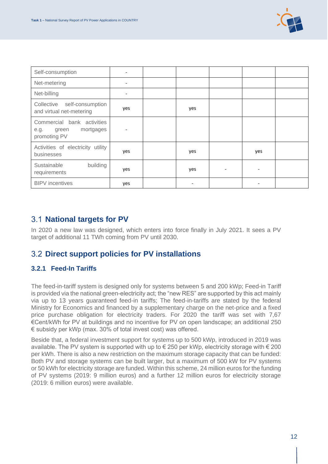

| Self-consumption                                                         |     |     |                          |     |  |
|--------------------------------------------------------------------------|-----|-----|--------------------------|-----|--|
| Net-metering                                                             |     |     |                          |     |  |
| Net-billing                                                              |     |     |                          |     |  |
| Collective<br>self-consumption<br>and virtual net-metering               | yes | yes |                          |     |  |
| Commercial bank activities<br>mortgages<br>green<br>e.g.<br>promoting PV |     |     |                          |     |  |
| Activities of electricity utility<br>businesses                          | yes | yes |                          | yes |  |
| Sustainable<br>building<br>requirements                                  | yes | yes | $\overline{\phantom{a}}$ |     |  |
| <b>BIPV</b> incentives                                                   | yes |     |                          |     |  |

### <span id="page-12-0"></span>**National targets for PV**

In 2020 a new law was designed, which enters into force finally in July 2021. It sees a PV target of additional 11 TWh coming from PV until 2030.

## <span id="page-12-1"></span>**Direct support policies for PV installations**

#### **3.2.1 Feed-In Tariffs**

The feed-in-tariff system is designed only for systems between 5 and 200 kWp; Feed-in Tariff is provided via the national green-electricity act; the "new RES" are supported by this act mainly via up to 13 years guaranteed feed-in tariffs; The feed-in-tariffs are stated by the federal Ministry for Economics and financed by a supplementary charge on the net-price and a fixed price purchase obligation for electricity traders. For 2020 the tariff was set with 7,67 €Cent/kWh for PV at buildings and no incentive for PV on open landscape; an additional 250 € subsidy per kWp (max. 30% of total invest cost) was offered.

Beside that, a federal investment support for systems up to 500 kWp, introduced in 2019 was available. The PV system is supported with up to € 250 per kWp, electricity storage with € 200 per kWh. There is also a new restriction on the maximum storage capacity that can be funded: Both PV and storage systems can be built larger, but a maximum of 500 kW for PV systems or 50 kWh for electricity storage are funded. Within this scheme, 24 million euros for the funding of PV systems (2019: 9 million euros) and a further 12 million euros for electricity storage (2019: 6 million euros) were available.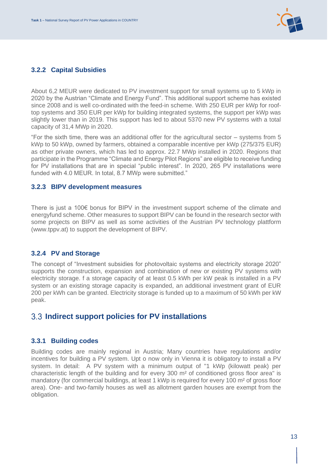

#### **3.2.2 Capital Subsidies**

About 6,2 MEUR were dedicated to PV investment support for small systems up to 5 kWp in 2020 by the Austrian "Climate and Energy Fund". This additional support scheme has existed since 2008 and is well co-ordinated with the feed-in scheme. With 250 EUR per kWp for rooftop systems and 350 EUR per kWp for building integrated systems, the support per kWp was slightly lower than in 2019. This support has led to about 5370 new PV systems with a total capacity of 31,4 MWp in 2020.

"For the sixth time, there was an additional offer for the agricultural sector – systems from 5 kWp to 50 kWp, owned by farmers, obtained a comparable incentive per kWp (275/375 EUR) as other private owners, which has led to approx. 22.7 MWp installed in 2020. Regions that participate in the Programme "Climate and Energy Pilot Regions" are eligible to receive funding for PV installations that are in special "public interest". In 2020, 265 PV installations were funded with 4.0 MEUR. In total, 8.7 MWp were submitted."

#### **3.2.3 BIPV development measures**

There is just a 100€ bonus for BIPV in the investment support scheme of the climate and energyfund scheme. Other measures to support BIPV can be found in the research sector with some projects on BIPV as well as some activities of the Austrian PV technology plattform (www.tppv.at) to support the development of BIPV.

#### **3.2.4 PV and Storage**

The concept of "Investment subsidies for photovoltaic systems and electricity storage 2020" supports the construction, expansion and combination of new or existing PV systems with electricity storage. f a storage capacity of at least 0.5 kWh per kW peak is installed in a PV system or an existing storage capacity is expanded, an additional investment grant of EUR 200 per kWh can be granted. Electricity storage is funded up to a maximum of 50 kWh per kW peak.

### <span id="page-13-0"></span>**Indirect support policies for PV installations**

#### **3.3.1 Building codes**

Building codes are mainly regional in Austria; Many countries have regulations and/or incentives for building a PV system. Upt o now only in Vienna it is obligatory to install a PV system. In detail: A PV system with a minimum output of "1 kWp (kilowatt peak) per characteristic length of the building and for every 300 m² of conditioned gross floor area" is mandatory (for commercial buildings, at least 1 kWp is required for every 100 m<sup>2</sup> of gross floor area). One- and two-family houses as well as allotment garden houses are exempt from the obligation.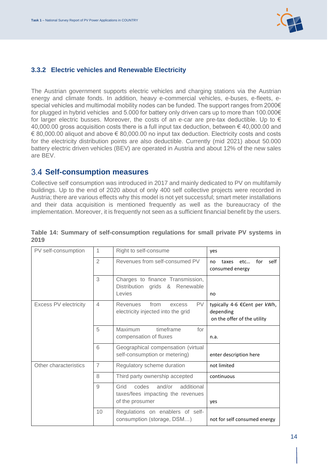

#### **3.3.2 Electric vehicles and Renewable Electricity**

The Austrian government supports electric vehicles and charging stations via the Austrian energy and climate fonds. In addition, heavy e-commercial vehicles, e-buses, e-fleets, especial vehicles and multimodal mobility nodes can be funded. The support ranges from 2000€ for plugged in hybrid vehicles and 5.000 for battery only driven cars up to more than 100.000€ for larger electric busses. Moreover, the costs of an e-car are pre-tax deductible. Up to  $\epsilon$ 40,000.00 gross acquisition costs there is a full input tax deduction, between € 40,000.00 and € 80,000.00 aliquot and above € 80,000.00 no input tax deduction. Electricity costs and costs for the electricity distribution points are also deductible. Currently (mid 2021) about 50.000 battery electric driven vehicles (BEV) are operated in Austria and about 12% of the new sales are BEV.

#### <span id="page-14-0"></span>**Self-consumption measures**

Collective self consumption was introduced in 2017 and mainly dedicated to PV on multifamily buildings. Up to the end of 2020 about of only 400 self collective projects were recorded in Austria; there are various effects why this model is not yet successful; smart meter installations and their data acquisition is mentioned frequently as well as the bureaucracy of the implementation. Moreover, it is frequently not seen as a sufficient financial benefit by the users.

| PV self-consumption          | 1              | Right to self-consume                                                                         | yes                                                                      |
|------------------------------|----------------|-----------------------------------------------------------------------------------------------|--------------------------------------------------------------------------|
|                              | $\overline{2}$ | Revenues from self-consumed PV                                                                | for<br>self<br>etc<br>taxes<br>no<br>consumed energy                     |
|                              | 3              | Charges to finance Transmission,<br>Distribution<br>grids &<br>Renewable<br>Levies            | no                                                                       |
| <b>Excess PV electricity</b> | $\overline{4}$ | from<br><b>PV</b><br><b>Revenues</b><br>excess<br>electricity injected into the grid          | typically 4-6 €Cent per kWh,<br>depending<br>on the offer of the utility |
|                              | 5              | Maximum<br>timeframe<br>for<br>compensation of fluxes                                         | n.a.                                                                     |
|                              | 6              | Geographical compensation (virtual<br>self-consumption or metering)                           | enter description here                                                   |
| Other characteristics        | $\overline{7}$ | Regulatory scheme duration                                                                    | not limited                                                              |
|                              | 8              | Third party ownership accepted                                                                | continuous                                                               |
|                              | 9              | codes<br>and/or<br>additional<br>Grid<br>taxes/fees impacting the revenues<br>of the prosumer | yes                                                                      |
|                              | 10             | Regulations on enablers of self-<br>consumption (storage, DSM)                                | not for self consumed energy                                             |

#### **Table 14: Summary of self-consumption regulations for small private PV systems in 2019**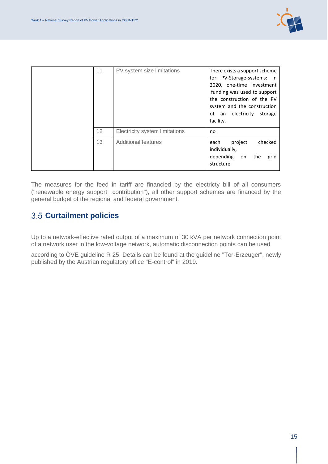

| 11 | PV system size limitations     | There exists a support scheme<br>for PV-Storage-systems: In<br>2020, one-time investment<br>funding was used to support<br>the construction of the PV<br>system and the construction<br>οf<br>an electricity<br>storage<br>facility. |
|----|--------------------------------|--------------------------------------------------------------------------------------------------------------------------------------------------------------------------------------------------------------------------------------|
| 12 | Electricity system limitations | no                                                                                                                                                                                                                                   |
| 13 | <b>Additional features</b>     | checked<br>each<br>project<br>individually,<br>depending<br>the<br>on<br>grid<br>structure                                                                                                                                           |

The measures for the feed in tariff are financied by the electricty bill of all consumers ("renewable energy support contribution"), all other support schemes are financed by the general budget of the regional and federal government.

## <span id="page-15-0"></span>**Curtailment policies**

Up to a network-effective rated output of a maximum of 30 kVA per network connection point of a network user in the low-voltage network, automatic disconnection points can be used

according to ÖVE guideline R 25. Details can be found at the guideline "Tor-Erzeuger", newly published by the Austrian regulatory office "E-control" in 2019.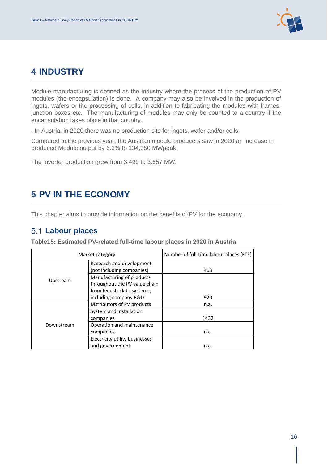

# <span id="page-16-0"></span>**4 INDUSTRY**

Module manufacturing is defined as the industry where the process of the production of PV modules (the encapsulation) is done. A company may also be involved in the production of ingots, wafers or the processing of cells, in addition to fabricating the modules with frames, junction boxes etc. The manufacturing of modules may only be counted to a country if the encapsulation takes place in that country.

. In Austria, in 2020 there was no production site for ingots, wafer and/or cells.

Compared to the previous year, the Austrian module producers saw in 2020 an increase in produced Module output by 6.3% to 134,350 MWpeak.

The inverter production grew from 3.499 to 3.657 MW.

# <span id="page-16-1"></span>**5 PV IN THE ECONOMY**

This chapter aims to provide information on the benefits of PV for the economy.

#### <span id="page-16-2"></span>**Labour places**

| Market category |                                | Number of full-time labour places [FTE] |
|-----------------|--------------------------------|-----------------------------------------|
| Upstream        | Research and development       |                                         |
|                 | (not including companies)      | 403                                     |
|                 | Manufacturing of products      |                                         |
|                 | throughout the PV value chain  |                                         |
|                 | from feedstock to systems,     |                                         |
|                 | including company R&D          | 920                                     |
|                 | Distributors of PV products    | n.a.                                    |
|                 | System and installation        |                                         |
| Downstream      | companies                      | 1432                                    |
|                 | Operation and maintenance      |                                         |
|                 | companies                      | n.a.                                    |
|                 | Electricity utility businesses |                                         |
|                 | and governement                | n.a.                                    |

**Table15: Estimated PV-related full-time labour places in 2020 in Austria**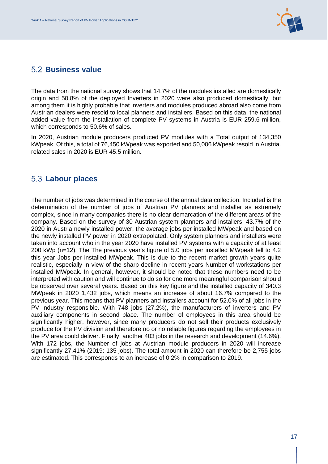

#### <span id="page-17-0"></span>**Business value**

The data from the national survey shows that 14.7% of the modules installed are domestically origin and 50.8% of the deployed Inverters in 2020 were also produced domestically, but among them it is highly probable that inverters and modules produced abroad also come from Austrian dealers were resold to local planners and installers. Based on this data, the national added value from the installation of complete PV systems in Austria is EUR 259.6 million, which corresponds to 50.6% of sales.

In 2020, Austrian module producers produced PV modules with a Total output of 134,350 kWpeak. Of this, a total of 76,450 kWpeak was exported and 50,006 kWpeak resold in Austria. related sales in 2020 is EUR 45.5 million.

#### <span id="page-17-1"></span>**Labour places**

The number of jobs was determined in the course of the annual data collection. Included is the determination of the number of jobs of Austrian PV planners and installer as extremely complex, since in many companies there is no clear demarcation of the different areas of the company. Based on the survey of 30 Austrian system planners and installers, 43.7% of the 2020 in Austria newly installed power, the average jobs per installed MWpeak and based on the newly installed PV power in 2020 extrapolated. Only system planners and installers were taken into account who in the year 2020 have installed PV systems with a capacity of at least 200 kWp (n=12). The The previous year's figure of 5.0 jobs per installed MWpeak fell to 4.2 this year Jobs per installed MWpeak. This is due to the recent market growth years quite realistic, especially in view of the sharp decline in recent years Number of workstations per installed MWpeak. In general, however, it should be noted that these numbers need to be interpreted with caution and will continue to do so for one more meaningful comparison should be observed over several years. Based on this key figure and the installed capacity of 340.3 MWpeak in 2020 1,432 jobs, which means an increase of about 16.7% compared to the previous year. This means that PV planners and installers account for 52.0% of all jobs in the PV industry responsible. With 748 jobs (27.2%), the manufacturers of inverters and PV auxiliary components in second place. The number of employees in this area should be significantly higher, however, since many producers do not sell their products exclusively produce for the PV division and therefore no or no reliable figures regarding the employees in the PV area could deliver. Finally, another 403 jobs in the research and development (14.6%). With 172 jobs, the Number of jobs at Austrian module producers in 2020 will increase significantly 27.41% (2019: 135 jobs). The total amount in 2020 can therefore be 2,755 jobs are estimated. This corresponds to an increase of 0.2% in comparison to 2019.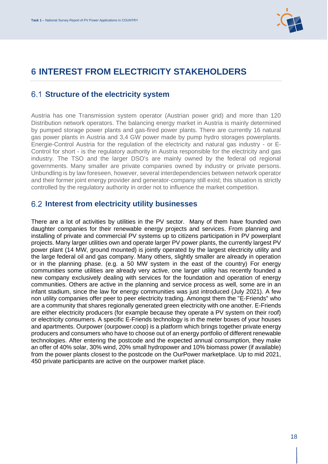

# <span id="page-18-0"></span>**6 INTEREST FROM ELECTRICITY STAKEHOLDERS**

## <span id="page-18-1"></span>**Structure of the electricity system**

Austria has one Transmission system operator (Austrian power grid) and more than 120 Distribution network operators. The balancing energy market in Austria is mainly determined by pumped storage power plants and gas-fired power plants. There are currently 16 natural gas power plants in Austria and 3,4 GW power made by pump hydro storages powerplants. Energie-Control Austria for the regulation of the electricity and natural gas industry - or E-Control for short - is the regulatory authority in Austria responsible for the electricity and gas industry. The TSO and the larger DSO's are mainly owned by the federal od regional governments. Many smaller are private companies owned by industry or private persons. Unbundling is by law foreseen, however, several interdependencies between network operator and their former joint energy provider and generator-company still exist; this situation is strictly controlled by the regulatory authority in order not to influence the market competition.

#### <span id="page-18-2"></span>**Interest from electricity utility businesses**

There are a lot of activities by utilities in the PV sector. Many of them have founded own daughter companies for their renewable energy projects and services. From planning and installing of private and commercial PV systems up to citizens participation in PV powerplant projects. Many larger utilities own and operate larger PV power plants, the currently largest PV power plant (14 MW, ground mounted) is jointly operated by the largest electricity utility and the large federal oil and gas company. Many others, slightly smaller are already in operation or in the planning phase. (e.g. a 50 MW system in the east of the country) For energy communities some utilities are already very active, one larger utility has recently founded a new company exclusively dealing with services for the foundation and operation of energy communities. Others are active in the planning and service process as well, some are in an infant stadium, since the law for energy communities was just introduced (July 2021). A few non utility companies offer peer to peer electricity trading. Amongst them the "E-Friends" who are a community that shares regionally generated green electricity with one another. E-Friends are either electricity producers (for example because they operate a PV system on their roof) or electricity consumers. A specific E-Friends technology is in the meter boxes of your houses and apartments. Ourpower (ourpower.coop) is a platform which brings together private energy producers and consumers who have to choose out of an energy portfolio of different renewable technologies. After entering the postcode and the expected annual consumption, they make an offer of 40% solar, 30% wind, 20% small hydropower and 10% biomass power (if available) from the power plants closest to the postcode on the OurPower marketplace. Up to mid 2021, 450 private participants are active on the ourpower market place.